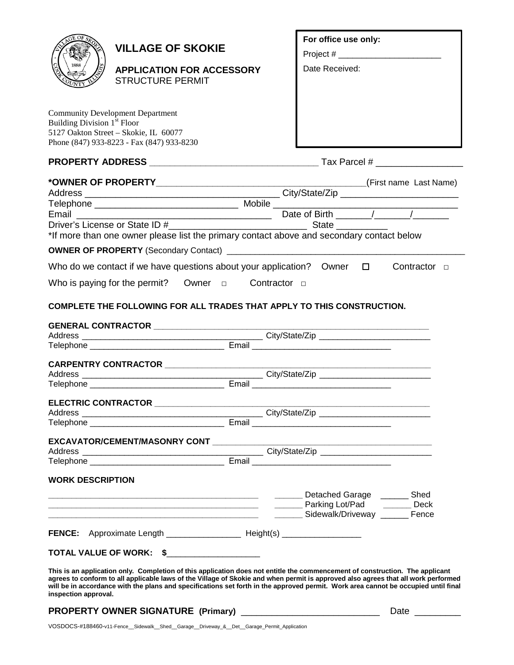

# **VILLAGE OF SKOKIE**

**APPLICATION FOR ACCESSORY**  STRUCTURE PERMIT

Community Development Department Building Division  $1<sup>st</sup>$  Floor 5127 Oakton Street – Skokie, IL 60077 Phone (847) 933-8223 - Fax (847) 933-8230

# **PROPERTY ADDRESS \_\_\_\_\_\_\_\_\_\_\_\_\_\_\_\_\_\_\_\_\_\_\_\_\_\_\_\_\_\_\_\_\_** Tax Parcel # \_\_\_\_\_\_\_\_\_\_\_\_\_\_\_\_\_

**For office use only:** Project # \_\_\_\_\_\_\_\_\_\_\_\_\_

Date Received:

|                                                                                           |  |  | (First name Last Name) |
|-------------------------------------------------------------------------------------------|--|--|------------------------|
|                                                                                           |  |  |                        |
|                                                                                           |  |  |                        |
|                                                                                           |  |  |                        |
|                                                                                           |  |  |                        |
| *If more than one owner please list the primary contact above and secondary contact below |  |  |                        |
|                                                                                           |  |  |                        |
| Who do we contact if we have questions about your application? Owner $\Box$               |  |  | Contractor $\Box$      |
| Who is paying for the permit? Owner $\Box$ Contractor $\Box$                              |  |  |                        |
| COMPLETE THE FOLLOWING FOR ALL TRADES THAT APPLY TO THIS CONSTRUCTION.                    |  |  |                        |
|                                                                                           |  |  |                        |
|                                                                                           |  |  |                        |
| CARPENTRY CONTRACTOR _______________________                                              |  |  |                        |
|                                                                                           |  |  |                        |
|                                                                                           |  |  |                        |
| ELECTRIC CONTRACTOR ______________________                                                |  |  |                        |
|                                                                                           |  |  |                        |
|                                                                                           |  |  |                        |
| EXCAVATOR/CEMENT/MASONRY CONT                                                             |  |  |                        |

## **EXCAVATOR/CEMENT/MASONRY CONT \_\_\_\_**

| hhA<br>     |                    |  |
|-------------|--------------------|--|
| $\sim$<br>ັ | .<br>$- - -$<br>-- |  |

## **WORK DESCRIPTION**

|                                  |           | Detached Garage<br>Parking Lot/Pad<br>Sidewalk/Driveway | Shed<br>Deck<br>Fence |
|----------------------------------|-----------|---------------------------------------------------------|-----------------------|
| <b>FENCE:</b> Approximate Length | Height(s) |                                                         |                       |

**TOTAL VALUE OF WORK: \$** \_\_\_\_\_\_\_\_\_\_\_\_\_\_\_\_\_\_\_\_

**This is an application only. Completion of this application does not entitle the commencement of construction. The applicant agrees to conform to all applicable laws of the Village of Skokie and when permit is approved also agrees that all work performed will be in accordance with the plans and specifications set forth in the approved permit. Work area cannot be occupied until final inspection approval.** 

# **PROPERTY OWNER SIGNATURE (Primary)** \_\_\_\_\_\_\_\_\_\_\_\_\_\_\_\_\_\_\_\_\_\_\_\_\_\_\_ Date \_\_\_\_\_\_\_\_\_

VOSDOCS-#188460-v11-Fence\_\_Sidewalk\_\_Shed\_\_Garage\_\_Driveway\_&\_\_Det\_\_Garage\_Permit\_Application